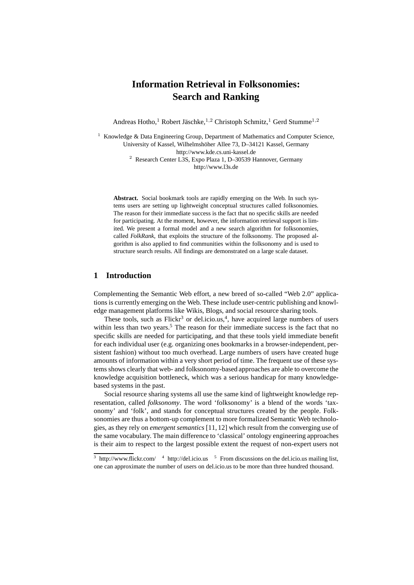# **Information Retrieval in Folksonomies: Search and Ranking**

Andreas Hotho,<sup>1</sup> Robert Jäschke,<sup>1,2</sup> Christoph Schmitz,<sup>1</sup> Gerd Stumme<sup>1,2</sup>

<sup>1</sup> Knowledge & Data Engineering Group, Department of Mathematics and Computer Science, University of Kassel, Wilhelmshöher Allee 73, D–34121 Kassel, Germany http://www.kde.cs.uni-kassel.de <sup>2</sup> Research Center L3S, Expo Plaza 1, D–30539 Hannover, Germany

http://www.l3s.de

**Abstract.** Social bookmark tools are rapidly emerging on the Web. In such systems users are setting up lightweight conceptual structures called folksonomies. The reason for their immediate success is the fact that no specific skills are needed for participating. At the moment, however, the information retrieval support is limited. We present a formal model and a new search algorithm for folksonomies, called *FolkRank*, that exploits the structure of the folksonomy. The proposed algorithm is also applied to find communities within the folksonomy and is used to structure search results. All findings are demonstrated on a large scale dataset.

# **1 Introduction**

Complementing the Semantic Web effort, a new breed of so-called "Web 2.0" applications is currently emerging on the Web. These include user-centric publishing and knowledge management platforms like Wikis, Blogs, and social resource sharing tools.

These tools, such as  $Flickr<sup>3</sup>$  or del.icio.us,<sup>4</sup>, have acquired large numbers of users within less than two years.<sup>5</sup> The reason for their immediate success is the fact that no specific skills are needed for participating, and that these tools yield immediate benefit for each individual user (e.g. organizing ones bookmarks in a browser-independent, persistent fashion) without too much overhead. Large numbers of users have created huge amounts of information within a very short period of time. The frequent use of these systems shows clearly that web- and folksonomy-based approaches are able to overcome the knowledge acquisition bottleneck, which was a serious handicap for many knowledgebased systems in the past.

Social resource sharing systems all use the same kind of lightweight knowledge representation, called *folksonomy*. The word 'folksonomy' is a blend of the words 'taxonomy' and 'folk', and stands for conceptual structures created by the people. Folksonomies are thus a bottom-up complement to more formalized Semantic Web technologies, as they rely on *emergent semantics* [11, 12] which result from the converging use of the same vocabulary. The main difference to 'classical' ontology engineering approaches is their aim to respect to the largest possible extent the request of non-expert users not

 $3$  http://www.flickr.com/  $4$  http://del.icio.us  $5$  From discussions on the del.icio.us mailing list, one can approximate the number of users on del.icio.us to be more than three hundred thousand.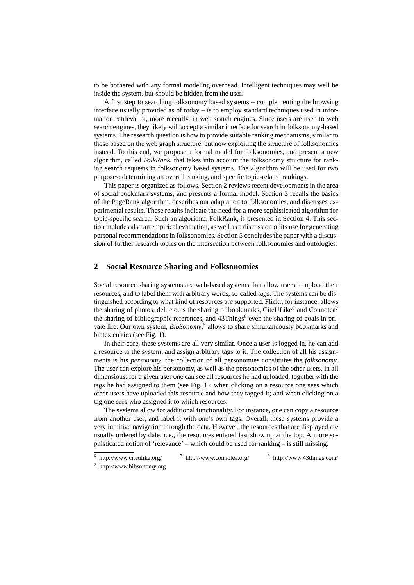to be bothered with any formal modeling overhead. Intelligent techniques may well be inside the system, but should be hidden from the user.

A first step to searching folksonomy based systems – complementing the browsing interface usually provided as of today – is to employ standard techniques used in information retrieval or, more recently, in web search engines. Since users are used to web search engines, they likely will accept a similar interface for search in folksonomy-based systems. The research question is how to provide suitable ranking mechanisms, similar to those based on the web graph structure, but now exploiting the structure of folksonomies instead. To this end, we propose a formal model for folksonomies, and present a new algorithm, called *FolkRank*, that takes into account the folksonomy structure for ranking search requests in folksonomy based systems. The algorithm will be used for two purposes: determining an overall ranking, and specific topic-related rankings.

This paper is organized as follows. Section 2 reviews recent developments in the area of social bookmark systems, and presents a formal model. Section 3 recalls the basics of the PageRank algorithm, describes our adaptation to folksonomies, and discusses experimental results. These results indicate the need for a more sophisticated algorithm for topic-specific search. Such an algorithm, FolkRank, is presented in Section 4. This section includes also an empirical evaluation, as well as a discussion of its use for generating personal recommendations in folksonomies. Section 5 concludes the paper with a discussion of further research topics on the intersection between folksonomies and ontologies.

## **2 Social Resource Sharing and Folksonomies**

Social resource sharing systems are web-based systems that allow users to upload their resources, and to label them with arbitrary words, so-called *tags*. The systems can be distinguished according to what kind of resources are supported. Flickr, for instance, allows the sharing of photos, del.icio.us the sharing of bookmarks, CiteULike<sup>6</sup> and Connotea<sup>7</sup> the sharing of bibliographic references, and 43Things<sup>8</sup> even the sharing of goals in private life. Our own system, *BibSonomy*, 9 allows to share simultaneously bookmarks and bibtex entries (see Fig. 1).

In their core, these systems are all very similar. Once a user is logged in, he can add a resource to the system, and assign arbitrary tags to it. The collection of all his assignments is his *personomy*, the collection of all personomies constitutes the *folksonomy*. The user can explore his personomy, as well as the personomies of the other users, in all dimensions: for a given user one can see all resources he had uploaded, together with the tags he had assigned to them (see Fig. 1); when clicking on a resource one sees which other users have uploaded this resource and how they tagged it; and when clicking on a tag one sees who assigned it to which resources.

The systems allow for additional functionality. For instance, one can copy a resource from another user, and label it with one's own tags. Overall, these systems provide a very intuitive navigation through the data. However, the resources that are displayed are usually ordered by date, i. e., the resources entered last show up at the top. A more sophisticated notion of 'relevance' – which could be used for ranking – is still missing.

<sup>6</sup> http://www.citeulike.org/ <sup>7</sup>  $\frac{7}{1}$  http://www.connotea.org/ http://www.43things.com/

<sup>9</sup> http://www.bibsonomy.org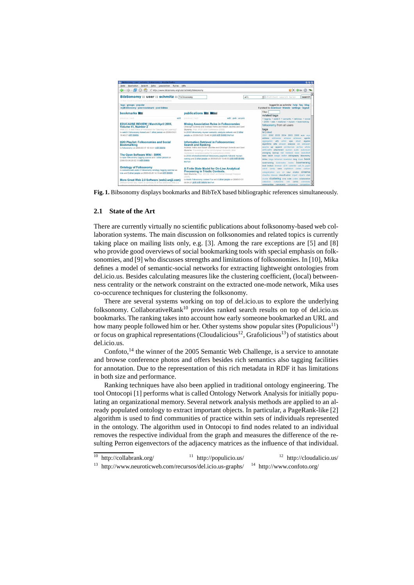| (A) BibSonomy::user::schmitz::folksonomy - Mozilla Firefox<br>Datei<br>Bearbeiten<br>Ansicht Gehe Lesezeichen Extras                                                                                                      | Hilfe                                                                                                                                                 |                                                                                                                                       | @@@                                                                                                                                                                                                          |
|---------------------------------------------------------------------------------------------------------------------------------------------------------------------------------------------------------------------------|-------------------------------------------------------------------------------------------------------------------------------------------------------|---------------------------------------------------------------------------------------------------------------------------------------|--------------------------------------------------------------------------------------------------------------------------------------------------------------------------------------------------------------|
| $\bullet \bullet \bullet \bullet \circ$<br>X http://www.bibsonomy.org/user/schmitz/folksonomy                                                                                                                             |                                                                                                                                                       |                                                                                                                                       | <b>B</b> • 0 Go @                                                                                                                                                                                            |
| BibSonomy :: user :: schmitz :: folksonomy<br>A blue social bookmark and publication sharing system.                                                                                                                      |                                                                                                                                                       |                                                                                                                                       | <fulltext here="" search=""><br/>all<br/>search</fulltext>                                                                                                                                                   |
| tags · groups · popular<br>myBibSonomy · post bookmark · post bibtex                                                                                                                                                      |                                                                                                                                                       |                                                                                                                                       | logged in as schmitz · help · fag · blog<br>0 picked to download · friends · settings · logout                                                                                                               |
| bookmarks <b>RSS</b>                                                                                                                                                                                                      | publications <b>RSS BibTeX</b>                                                                                                                        |                                                                                                                                       | Filter:<br>related tags                                                                                                                                                                                      |
| previous   next<br>edit                                                                                                                                                                                                   | previous   next                                                                                                                                       | edit   pick   unpick                                                                                                                  | + tagging + web2.0 + semantic + delicious + social<br>+ 2006 + web + relational + myown + bookmarking                                                                                                        |
| <b>EDUCAUSE REVIEW   March/April 2006,</b><br>Volume 41, Number 2<br>Web 2.0: A New Wave of Innovation for Teaching and Learning?<br>to web2.0 folksonomy toread and 1 other person on 2006-03-21<br>16:46:07 edit delete | <b>Mining Association Rules in Folksonomies</b><br>Stumme, Proc. IFCS 2006 Conference (2006)<br>people on 2006-03-23 13:46:16 pick edit delete BibTeX | Christoph Schmitz and Andreas Hotho and Robert Jäschke and Gerd<br>to 2006 folksonomy myown semantic analysis network and 2 other     | folksonomy from all users<br>tags<br>list I cloud<br>2001 2002 2003 2004 2005 2006 acm acci<br>addresses adresse adressen agents<br>address                                                                  |
| <b>H2O Playlist: Folksonomies and Social</b><br><b>Bookmarking</b><br>to folksonomy on 2006-03-17 15:13:01 edit delete                                                                                                    | <b>Information Retrieval in Folksonomies:</b><br><b>Search and Ranking</b><br>Stumme, Proceedings of the 3rd European Semantic Web                    | Andreas Hotho and Robert Jäschke and Christoph Schmitz and Gerd                                                                       | airfoil alax albert<br>aggregation aifb<br>algebra<br>algorithms alife amazon analysis ant<br>antispam<br>apache api append architecture archive article<br>artificialife attachment auction audio automount |
| The Open Software Wiki - SWiK<br>to open folksonomy tagging source and 1 other person on<br>2006-03-06 20:52:15 edit delete                                                                                               | Conference lemph//accepted for publication)) (2006)<br><b>RIBTeX</b>                                                                                  | to 2006 informationretrieval folksonomy pagerank folkrank myown<br>ranking and 2 other people on 2006-03-23 13:45:53 pick edit delete | averaging backup bali barabasi base basketball<br>bass batch beagle belton bibliography bibsonomy<br>bibtex bingo bittorrent bloehdom blog blues book<br>bookmarking bookmarks books <b>boomerang</b>        |
| <b>Ontology of Folksonomy</b><br>to semanticweb web2.0 folksonomy ontology tagging seminar as<br>kde and 5 other people on 2006-02-28 14:18:44 edit delete                                                                | <b>A Finite State Model for On-Line Analytical</b><br><b>Processing in Triadic Contexts.</b><br>(2005)                                                | Gerd Stumme, Proc. 3rd Intl. Conf. on Formal Concept Analysis                                                                         | boot broken browser c214 calendar call for paper<br>calvin candy cans capitalism career cartoon<br>categorization cos od ceur charter Cinema<br>citeulike classes classification clipart cliparts club       |
| More Great Web 2.0 Software (web2.wsj2.com)<br>Without further ado, here's a summary of all the additional Web 2.0                                                                                                        | 08:54:37 pick edit delete BibTeX                                                                                                                      | to triadic folksonomy context fca and 4 other people on 2005-01-31                                                                    | cluster <b>clustering</b> cms code codes collaborative<br>collection collections colt<br>comic<br>commons                                                                                                    |

**Fig. 1.** Bibsonomy displays bookmarks and BibTeX based bibliographic references simultaneously.

## **2.1 State of the Art**

There are currently virtually no scientific publications about folksonomy-based web collaboration systems. The main discussion on folksonomies and related topics is currently taking place on mailing lists only, e.g. [3]. Among the rare exceptions are [5] and [8] who provide good overviews of social bookmarking tools with special emphasis on folksonomies, and [9] who discusses strengths and limitations of folksonomies. In [10], Mika defines a model of semantic-social networks for extracting lightweight ontologies from del.icio.us. Besides calculating measures like the clustering coefficient, (local) betweenness centrality or the network constraint on the extracted one-mode network, Mika uses co-occurence techniques for clustering the folksonomy.

There are several systems working on top of del.icio.us to explore the underlying folksonomy. Collaborative $Rank^{10}$  provides ranked search results on top of del.icio.us bookmarks. The ranking takes into account how early someone bookmarked an URL and how many people followed him or her. Other systems show popular sites (Populicious<sup>11</sup>) or focus on graphical representations (Cloudalicious<sup>12</sup>, Grafolicious<sup>13</sup>) of statistics about del.icio.us.

Confoto, $14$  the winner of the 2005 Semantic Web Challenge, is a service to annotate and browse conference photos and offers besides rich semantics also tagging facilities for annotation. Due to the representation of this rich metadata in RDF it has limitations in both size and performance.

Ranking techniques have also been applied in traditional ontology engineering. The tool Ontocopi [1] performs what is called Ontology Network Analysis for initially populating an organizational memory. Several network analysis methods are applied to an already populated ontology to extract important objects. In particular, a PageRank-like [2] algorithm is used to find communities of practice within sets of individuals represented in the ontology. The algorithm used in Ontocopi to find nodes related to an individual removes the respective individual from the graph and measures the difference of the resulting Perron eigenvectors of the adjacency matrices as the influence of that individual.

 $\frac{10 \text{ http://collabrank.org/}}{11 \text{ http://population.us/}}$  12 http://cloudalicio.us/

<sup>&</sup>lt;sup>13</sup> http://www.neuroticweb.com/recursos/del.icio.us-graphs/ <sup>14</sup> http://www.confoto.org/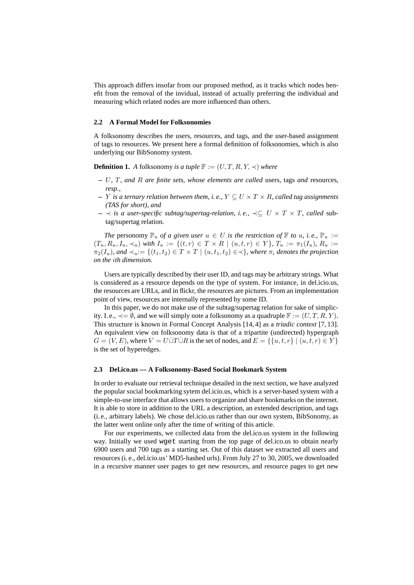This approach differs insofar from our proposed method, as it tracks which nodes benefit from the removal of the invidual, instead of actually preferring the individual and measuring which related nodes are more influenced than others.

#### **2.2 A Formal Model for Folksonomies**

A folksonomy describes the users, resources, and tags, and the user-based assignment of tags to resources. We present here a formal definition of folksonomies, which is also underlying our BibSonomy system.

**Definition 1.** *A* folksonomy *is a tuple*  $\mathbb{F} := (U, T, R, Y, \prec)$  *where* 

- **–** U*,* T *, and* R *are finite sets, whose elements are called* users*,* tags *and* resources*, resp.,*
- $\mathcal{L}$  **is a ternary relation between them, i.e.,**  $Y \subseteq U \times T \times R$ , called tag assignments *(TAS for short), and*
- $\prec$  *is a user-specific subtag/supertag-relation, i.e.,*  $\prec \subseteq U \times T \times T$ *, called sub*tag/supertag relation*.*

*The* personomy  $\mathbb{P}_u$  *of a given user*  $u \in U$  *is the restriction of*  $\mathbb F$  *to*  $u$ *, i.e.,*  $\mathbb{P}_u$  :=  $(T_u, R_u, I_u, \prec_u)$  *with*  $I_u := \{(t, r) \in T \times R \mid (u, t, r) \in Y\}$ ,  $T_u := \pi_1(I_u)$ ,  $R_u :=$  $\pi_2(I_u)$ *, and*  $\prec_u := \{(t_1, t_2) \in T \times T \mid (u, t_1, t_2) \in \prec\}$ *, where*  $\pi_i$  *denotes the projection on the* i*th dimension.*

Users are typically described by their user ID, and tags may be arbitrary strings. What is considered as a resource depends on the type of system. For instance, in del.icio.us, the resources are URLs, and in flickr, the resources are pictures. From an implementation point of view, resources are internally represented by some ID.

In this paper, we do not make use of the subtag/supertag relation for sake of simplicity. I. e.,  $\prec = \emptyset$ , and we will simply note a folksonomy as a quadruple  $\mathbb{F} := (U, T, R, Y)$ . This structure is known in Formal Concept Analysis [14, 4] as a *triadic context* [7, 13]. An equivalent view on folksonomy data is that of a tripartite (undirected) hypergraph  $G = (V, E)$ , where  $V = U \cup T \cup R$  is the set of nodes, and  $E = \{ \{u, t, r\} \mid (u, t, r) \in Y \}$ is the set of hyperedges.

#### **2.3 Del.ico.us — A Folksonomy-Based Social Bookmark System**

In order to evaluate our retrieval technique detailed in the next section, we have analyzed the popular social bookmarking sytem del.icio.us, which is a server-based system with a simple-to-use interface that allows users to organize and share bookmarks on the internet. It is able to store in addition to the URL a description, an extended description, and tags (i. e., arbitrary labels). We chose del.icio.us rather than our own system, BibSonomy, as the latter went online only after the time of writing of this article.

For our experiments, we collected data from the del.ico.us system in the following way. Initially we used wget starting from the top page of del.ico.us to obtain nearly 6900 users and 700 tags as a starting set. Out of this dataset we extracted all users and resources (i. e., del.icio.us' MD5-hashed urls). From July 27 to 30, 2005, we downloaded in a recursive manner user pages to get new resources, and resource pages to get new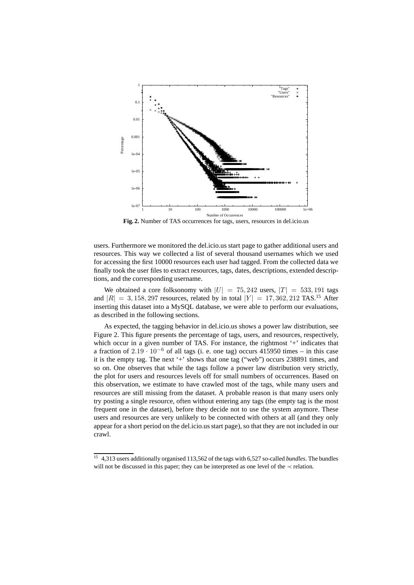

**Fig. 2.** Number of TAS occurrences for tags, users, resources in del.icio.us

users. Furthermore we monitored the del.icio.us start page to gather additional users and resources. This way we collected a list of several thousand usernames which we used for accessing the first 10000 resources each user had tagged. From the collected data we finally took the user files to extract resources, tags, dates, descriptions, extended descriptions, and the corresponding username.

We obtained a core folksonomy with  $|U| = 75,242$  users,  $|T| = 533,191$  tags and  $|R| = 3,158,297$  resources, related by in total  $|Y| = 17,362,212$  TAS.<sup>15</sup> After inserting this dataset into a MySQL database, we were able to perform our evaluations, as described in the following sections.

As expected, the tagging behavior in del.icio.us shows a power law distribution, see Figure 2. This figure presents the percentage of tags, users, and resources, respectively, which occur in a given number of TAS. For instance, the rightmost '+' indicates that a fraction of  $2.19 \cdot 10^{-6}$  of all tags (i. e. one tag) occurs 415950 times – in this case it is the empty tag. The next '+' shows that one tag ("web") occurs 238891 times, and so on. One observes that while the tags follow a power law distribution very strictly, the plot for users and resources levels off for small numbers of occurrences. Based on this observation, we estimate to have crawled most of the tags, while many users and resources are still missing from the dataset. A probable reason is that many users only try posting a single resource, often without entering any tags (the empty tag is the most frequent one in the dataset), before they decide not to use the system anymore. These users and resources are very unlikely to be connected with others at all (and they only appear for a short period on the del.icio.us start page), so that they are not included in our crawl.

<sup>15</sup> 4,313 users additionally organised 113,562 of the tags with 6,527 so-called *bundles*. The bundles will not be discussed in this paper; they can be interpreted as one level of the  $\prec$  relation.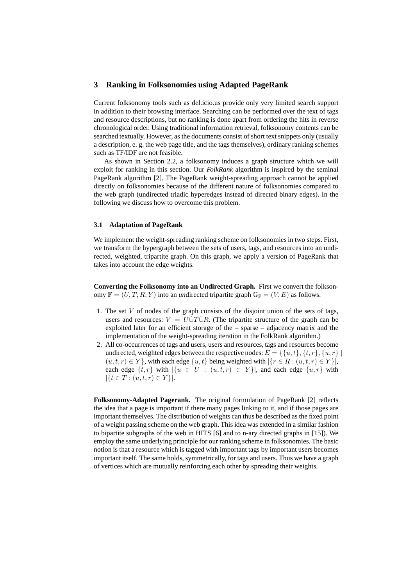## **3 Ranking in Folksonomies using Adapted PageRank**

Current folksonomy tools such as del.icio.us provide only very limited search support in addition to their browsing interface. Searching can be performed over the text of tags and resource descriptions, but no ranking is done apart from ordering the hits in reverse chronological order. Using traditional information retrieval, folksonomy contents can be searched textually. However, as the documents consist of short text snippets only (usually a description, e. g. the web page title, and the tags themselves), ordinary ranking schemes such as TF/IDF are not feasible.

As shown in Section 2.2, a folksonomy induces a graph structure which we will exploit for ranking in this section. Our *FolkRank* algorithm is inspired by the seminal PageRank algorithm [2]. The PageRank weight-spreading approach cannot be applied directly on folksonomies because of the different nature of folksonomies compared to the web graph (undirected triadic hyperedges instead of directed binary edges). In the following we discuss how to overcome this problem.

## **3.1 Adaptation of PageRank**

We implement the weight-spreading ranking scheme on folksonomies in two steps. First, we transform the hypergraph between the sets of users, tags, and resources into an undirected, weighted, tripartite graph. On this graph, we apply a version of PageRank that takes into account the edge weights.

**Converting the Folksonomy into an Undirected Graph.** First we convert the folksonomy  $\mathbb{F} = (U, T, R, Y)$  into an *un*directed tripartite graph  $\mathbb{G}_{\mathbb{F}} = (V, E)$  as follows.

- 1. The set  $V$  of nodes of the graph consists of the disjoint union of the sets of tags, users and resources:  $V = U\dot{\cup}T\dot{\cup}R$ . (The tripartite structure of the graph can be exploited later for an efficient storage of the – sparse – adjacency matrix and the implementation of the weight-spreading iteration in the FolkRank algorithm.)
- 2. All co-occurrences of tags and users, users and resources, tags and resources become undirected, weighted edges between the respective nodes:  $E = \{ \{u, t\}, \{t, r\}, \{u, r\} \}$  $(u, t, r) \in Y$ , with each edge  $\{u, t\}$  being weighted with  $|\{r \in R : (u, t, r) \in Y\}|$ , each edge  $\{t, r\}$  with  $|\{u \in U : (u, t, r) \in Y\}|$ , and each edge  $\{u, r\}$  with  $|\{t \in T : (u, t, r) \in Y\}|.$

**Folksonomy-Adapted Pagerank.** The original formulation of PageRank [2] reflects the idea that a page is important if there many pages linking to it, and if those pages are important themselves. The distribution of weights can thus be described as the fixed point of a weight passing scheme on the web graph. This idea was extended in a similar fashion to bipartite subgraphs of the web in HITS [6] and to n-ary directed graphs in [15]). We employ the same underlying principle for our ranking scheme in folksonomies. The basic notion is that a resource which is tagged with important tags by important users becomes important itself. The same holds, symmetrically, for tags and users. Thus we have a graph of vertices which are mutually reinforcing each other by spreading their weights.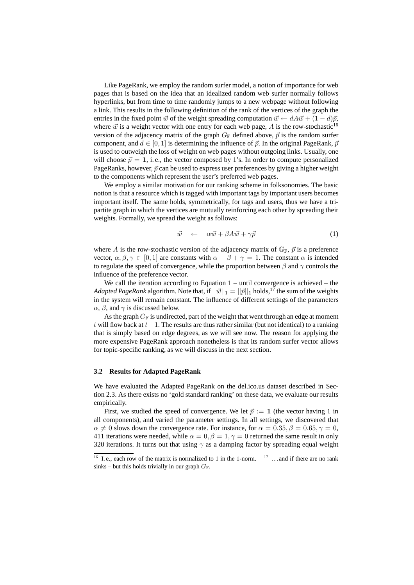Like PageRank, we employ the random surfer model, a notion of importance for web pages that is based on the idea that an idealized random web surfer normally follows hyperlinks, but from time to time randomly jumps to a new webpage without following a link. This results in the following definition of the rank of the vertices of the graph the entries in the fixed point  $\vec{w}$  of the weight spreading computation  $\vec{w} \leftarrow dA \vec{w} + (1 - d)\vec{p}$ , where  $\vec{w}$  is a weight vector with one entry for each web page, A is the row-stochastic<sup>16</sup> version of the adjacency matrix of the graph  $G_F$  defined above,  $\vec{p}$  is the random surfer component, and  $d \in [0, 1]$  is determining the influence of  $\vec{p}$ . In the original PageRank,  $\vec{p}$ is used to outweigh the loss of weight on web pages without outgoing links. Usually, one will choose  $\vec{p} = 1$ , i. e., the vector composed by 1's. In order to compute personalized PageRanks, however,  $\vec{p}$  can be used to express user preferences by giving a higher weight to the components which represent the user's preferred web pages.

We employ a similar motivation for our ranking scheme in folksonomies. The basic notion is that a resource which is tagged with important tags by important users becomes important itself. The same holds, symmetrically, for tags and users, thus we have a tripartite graph in which the vertices are mutually reinforcing each other by spreading their weights. Formally, we spread the weight as follows:

$$
\vec{w} \leftarrow \alpha \vec{w} + \beta A \vec{w} + \gamma \vec{p} \tag{1}
$$

where A is the row-stochastic version of the adjacency matrix of  $\mathbb{G}_F$ ,  $\vec{p}$  is a preference vector,  $\alpha, \beta, \gamma \in [0, 1]$  are constants with  $\alpha + \beta + \gamma = 1$ . The constant  $\alpha$  is intended to regulate the speed of convergence, while the proportion between  $\beta$  and  $\gamma$  controls the influence of the preference vector.

We call the iteration according to Equation 1 – until convergence is achieved – the *Adapted PageRank* algorithm. Note that, if  $||\vec{w}||_1 = ||\vec{p}||_1$  holds,<sup>17</sup> the sum of the weights in the system will remain constant. The influence of different settings of the parameters  $\alpha$ ,  $\beta$ , and  $\gamma$  is discussed below.

As the graph  $G_F$  is undirected, part of the weight that went through an edge at moment t will flow back at  $t + 1$ . The results are thus rather similar (but not identical) to a ranking that is simply based on edge degrees, as we will see now. The reason for applying the more expensive PageRank approach nonetheless is that its random surfer vector allows for topic-specific ranking, as we will discuss in the next section.

#### **3.2 Results for Adapted PageRank**

We have evaluated the Adapted PageRank on the del.ico.us dataset described in Section 2.3. As there exists no 'gold standard ranking' on these data, we evaluate our results empirically.

First, we studied the speed of convergence. We let  $\vec{p} := 1$  (the vector having 1 in all components), and varied the parameter settings. In all settings, we discovered that  $\alpha \neq 0$  slows down the convergence rate. For instance, for  $\alpha = 0.35, \beta = 0.65, \gamma = 0$ , 411 iterations were needed, while  $\alpha = 0, \beta = 1, \gamma = 0$  returned the same result in only 320 iterations. It turns out that using  $\gamma$  as a damping factor by spreading equal weight

<sup>&</sup>lt;sup>16</sup> I. e., each row of the matrix is normalized to 1 in the 1-norm. <sup>17</sup> ... and if there are no rank sinks – but this holds trivially in our graph  $G_F$ .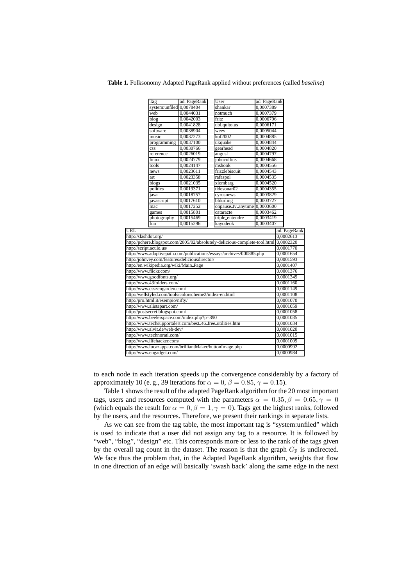**Table 1.** Folksonomy Adapted PageRank applied without preferences (called *baseline*)

|                                                                            | Tag                                    | ad. PageRank                                            | User                                                                | ad. PageRank |           |              |
|----------------------------------------------------------------------------|----------------------------------------|---------------------------------------------------------|---------------------------------------------------------------------|--------------|-----------|--------------|
|                                                                            | system:unfiled 0.0078404               |                                                         | shankar                                                             | 0.0007389    |           |              |
|                                                                            | 0,0044031<br>web                       |                                                         | notmuch                                                             | 0,0007379    |           |              |
|                                                                            | blog                                   | 0,0042003                                               | fritz                                                               | 0,0006796    |           |              |
|                                                                            | design                                 | 0.0041828                                               | ubi.quito.us                                                        | 0.0006171    |           |              |
|                                                                            | software                               | 0,0038904                                               | weev                                                                | 0,0005044    |           |              |
|                                                                            | music                                  | 0,0037273                                               | kof2002                                                             | 0,0004885    |           |              |
|                                                                            | programming                            | 0,0037100                                               | ukquake                                                             | 0.0004844    |           |              |
|                                                                            | css                                    | 0,0030766                                               | gearhead                                                            | 0,0004820    |           |              |
|                                                                            | reference                              | 0,0026019                                               | angusf                                                              | 0,0004797    |           |              |
|                                                                            | linux                                  | 0,0024779                                               | johncollins                                                         | 0.0004668    |           |              |
|                                                                            | tools                                  | 0,0024147                                               | mshook                                                              | 0,0004556    |           |              |
|                                                                            | news                                   | 0,0023611                                               | frizzlebiscuit<br>0,0004543                                         |              |           |              |
|                                                                            | art                                    | 0,0023358                                               | rafaspol<br>0.0004535                                               |              |           |              |
|                                                                            | blogs                                  | 0,0021035                                               | xiombarg                                                            | 0,0004520    |           |              |
|                                                                            | politics                               | 0,0019371                                               | tidesonar02                                                         | 0,0004355    |           |              |
|                                                                            | iava                                   | 0,0018757                                               | cyrusnews                                                           | 0,0003829    |           |              |
|                                                                            | javascript                             | 0,0017610                                               | bldurling                                                           | 0,0003727    |           |              |
|                                                                            | mac                                    | 0,0017252                                               | onpause_tv_anytime 0,0003600                                        |              |           |              |
|                                                                            | games                                  | 0,0015801                                               | cataracte                                                           | 0,0003462    |           |              |
|                                                                            | photography                            | 0,0015469                                               | triple_entendre                                                     | 0,0003419    |           |              |
|                                                                            | fun                                    | 0,0015296                                               | kayodeok                                                            | 0,0003407    |           |              |
| URL                                                                        |                                        |                                                         |                                                                     |              |           | ad. PageRank |
| http://slashdot.org/                                                       |                                        |                                                         |                                                                     |              |           | 0,0002613    |
| http://pchere.blogspot.com/2005/02/absolutely-delicious-complete-tool.html |                                        | 0,0002320                                               |                                                                     |              |           |              |
| http://script.aculo.us/                                                    | 0.0001770                              |                                                         |                                                                     |              |           |              |
|                                                                            |                                        |                                                         | http://www.adaptivepath.com/publications/essays/archives/000385.php |              | 0,0001654 |              |
|                                                                            |                                        | http://johnvey.com/features/deliciousdirector/          |                                                                     |              | 0,0001593 |              |
|                                                                            | http://en.wikipedia.org/wiki/Main_Page |                                                         |                                                                     |              |           | 0,0001407    |
| http://www.flickr.com/                                                     |                                        |                                                         |                                                                     |              |           | 0,0001376    |
| http://www.goodfonts.org/                                                  |                                        | 0,0001349                                               |                                                                     |              |           |              |
|                                                                            | http://www.43folders.com/              |                                                         |                                                                     |              |           | 0,0001160    |
| http://www.csszengarden.com/                                               |                                        | 0,0001149                                               |                                                                     |              |           |              |
| http://wellstyled.com/tools/colorscheme2/index-en.html                     |                                        | 0,0001108                                               |                                                                     |              |           |              |
| http://pro.html.it/esempio/nifty/                                          |                                        | 0,0001070                                               |                                                                     |              |           |              |
| http://www.alistapart.com/                                                 |                                        | 0,0001059                                               |                                                                     |              |           |              |
| http://postsecret.blogspot.com/                                            |                                        | 0,0001058                                               |                                                                     |              |           |              |
| http://www.beelerspace.com/index.php?p=890                                 |                                        | 0,0001035                                               |                                                                     |              |           |              |
| http://www.techsupportalert.com/best_46_free_utilities.htm                 |                                        | 0,0001034                                               |                                                                     |              |           |              |
| http://www.alvit.de/web-dev/                                               | 0,0001020                              |                                                         |                                                                     |              |           |              |
| http://www.technorati.com/                                                 | 0,0001015                              |                                                         |                                                                     |              |           |              |
|                                                                            | http://www.lifehacker.com/             |                                                         |                                                                     |              | 0.0001009 |              |
|                                                                            |                                        | http://www.lucazappa.com/brilliantMaker/buttonImage.php |                                                                     |              |           | 0,0000992    |
| http://www.engadget.com/                                                   |                                        | 0,0000984                                               |                                                                     |              |           |              |
|                                                                            |                                        |                                                         |                                                                     |              |           |              |

to each node in each iteration speeds up the convergence considerably by a factory of approximately 10 (e.g., 39 iterations for  $\alpha = 0$ ,  $\beta = 0.85$ ,  $\gamma = 0.15$ ).

Table 1 shows the result of the adapted PageRank algorithm for the 20 most important tags, users and resources computed with the parameters  $\alpha = 0.35, \beta = 0.65, \gamma = 0$ (which equals the result for  $\alpha = 0, \beta = 1, \gamma = 0$ ). Tags get the highest ranks, followed by the users, and the resources. Therefore, we present their rankings in separate lists.

As we can see from the tag table, the most important tag is "system:unfiled" which is used to indicate that a user did not assign any tag to a resource. It is followed by "web", "blog", "design" etc. This corresponds more or less to the rank of the tags given by the overall tag count in the dataset. The reason is that the graph  $G_F$  is undirected. We face thus the problem that, in the Adapted PageRank algorithm, weights that flow in one direction of an edge will basically 'swash back' along the same edge in the next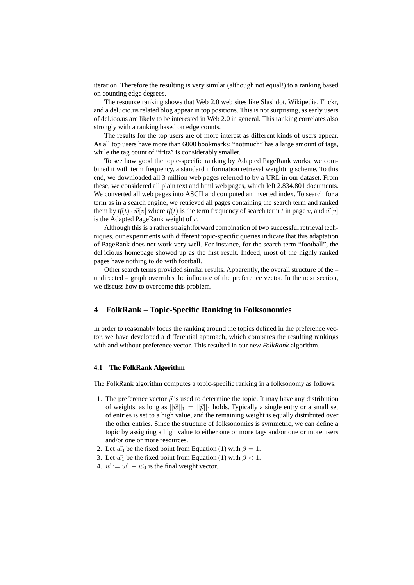iteration. Therefore the resulting is very similar (although not equal!) to a ranking based on counting edge degrees.

The resource ranking shows that Web 2.0 web sites like Slashdot, Wikipedia, Flickr, and a del.icio.us related blog appear in top positions. This is not surprising, as early users of del.ico.us are likely to be interested in Web 2.0 in general. This ranking correlates also strongly with a ranking based on edge counts.

The results for the top users are of more interest as different kinds of users appear. As all top users have more than 6000 bookmarks; "notmuch" has a large amount of tags, while the tag count of "fritz" is considerably smaller.

To see how good the topic-specific ranking by Adapted PageRank works, we combined it with term frequency, a standard information retrieval weighting scheme. To this end, we downloaded all 3 million web pages referred to by a URL in our dataset. From these, we considered all plain text and html web pages, which left 2.834.801 documents. We converted all web pages into ASCII and computed an inverted index. To search for a term as in a search engine, we retrieved all pages containing the search term and ranked them by  $tf(t) \cdot \vec{w}[v]$  where  $tf(t)$  is the term frequency of search term t in page v, and  $\vec{w}[v]$ is the Adapted PageRank weight of  $v$ .

Although this is a rather straightforward combination of two successful retrieval techniques, our experiments with different topic-specific queries indicate that this adaptation of PageRank does not work very well. For instance, for the search term "football", the del.icio.us homepage showed up as the first result. Indeed, most of the highly ranked pages have nothing to do with football.

Other search terms provided similar results. Apparently, the overall structure of the – undirected – graph overrules the influence of the preference vector. In the next section, we discuss how to overcome this problem.

## **4 FolkRank – Topic-Specific Ranking in Folksonomies**

In order to reasonably focus the ranking around the topics defined in the preference vector, we have developed a differential approach, which compares the resulting rankings with and without preference vector. This resulted in our new *FolkRank* algorithm.

#### **4.1 The FolkRank Algorithm**

The FolkRank algorithm computes a topic-specific ranking in a folksonomy as follows:

- 1. The preference vector  $\vec{p}$  is used to determine the topic. It may have any distribution of weights, as long as  $||\vec{w}||_1 = ||\vec{p}||_1$  holds. Typically a single entry or a small set of entries is set to a high value, and the remaining weight is equally distributed over the other entries. Since the structure of folksonomies is symmetric, we can define a topic by assigning a high value to either one or more tags and/or one or more users and/or one or more resources.
- 2. Let  $\vec{w_0}$  be the fixed point from Equation (1) with  $\beta = 1$ .
- 3. Let  $\vec{w_1}$  be the fixed point from Equation (1) with  $\beta < 1$ .
- 4.  $\vec{w} := \vec{w_1} \vec{w_0}$  is the final weight vector.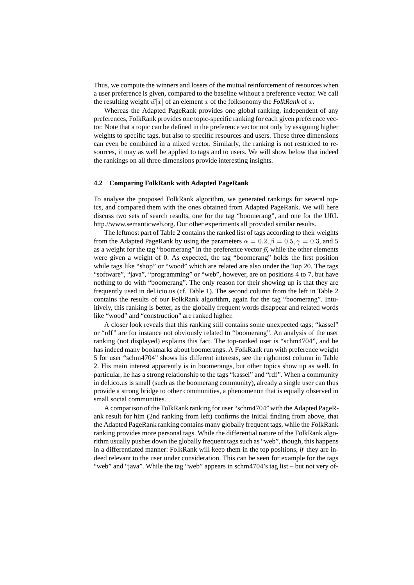Thus, we compute the winners and losers of the mutual reinforcement of resources when a user preference is given, compared to the baseline without a preference vector. We call the resulting weight  $\vec{w}[x]$  of an element x of the folksonomy the *FolkRank* of x.

Whereas the Adapted PageRank provides one global ranking, independent of any preferences, FolkRank provides one topic-specific ranking for each given preference vector. Note that a topic can be defined in the preference vector not only by assigning higher weights to specific tags, but also to specific resources and users. These three dimensions can even be combined in a mixed vector. Similarly, the ranking is not restricted to resources, it may as well be applied to tags and to users. We will show below that indeed the rankings on all three dimensions provide interesting insights.

#### **4.2 Comparing FolkRank with Adapted PageRank**

To analyse the proposed FolkRank algorithm, we generated rankings for several topics, and compared them with the ones obtained from Adapted PageRank. We will here discuss two sets of search results, one for the tag "boomerang", and one for the URL http.//www.semanticweb.org. Our other experiments all provided similar results.

The leftmost part of Table 2 contains the ranked list of tags according to their weights from the Adapted PageRank by using the parameters  $\alpha = 0.2$ ,  $\beta = 0.5$ ,  $\gamma = 0.3$ , and 5 as a weight for the tag "boomerang" in the preference vector  $\vec{p}$ , while the other elements were given a weight of 0. As expected, the tag "boomerang" holds the first position while tags like "shop" or "wood" which are related are also under the Top 20. The tags "software", "java", "programming" or "web", however, are on positions 4 to 7, but have nothing to do with "boomerang". The only reason for their showing up is that they are frequently used in del.icio.us (cf. Table 1). The second column from the left in Table 2 contains the results of our FolkRank algorithm, again for the tag "boomerang". Intuitively, this ranking is better, as the globally frequent words disappear and related words like "wood" and "construction" are ranked higher.

A closer look reveals that this ranking still contains some unexpected tags; "kassel" or "rdf" are for instance not obviously related to "boomerang". An analysis of the user ranking (not displayed) explains this fact. The top-ranked user is "schm4704", and he has indeed many bookmarks about boomerangs. A FolkRank run with preference weight 5 for user "schm4704" shows his different interests, see the rightmost column in Table 2. His main interest apparently is in boomerangs, but other topics show up as well. In particular, he has a strong relationship to the tags "kassel" and "rdf". When a community in del.ico.us is small (such as the boomerang community), already a single user can thus provide a strong bridge to other communities, a phenomenon that is equally observed in small social communities.

A comparison of the FolkRank ranking for user "schm4704" with the Adapted PageRank result for him (2nd ranking from left) confirms the initial finding from above, that the Adapted PageRank ranking contains many globally frequent tags, while the FolkRank ranking provides more personal tags. While the differential nature of the FolkRank algorithm usually pushes down the globally frequent tags such as "web", though, this happens in a differentiated manner: FolkRank will keep them in the top positions, *if* they are indeed relevant to the user under consideration. This can be seen for example for the tags "web" and "java". While the tag "web" appears in schm4704's tag list – but not very of-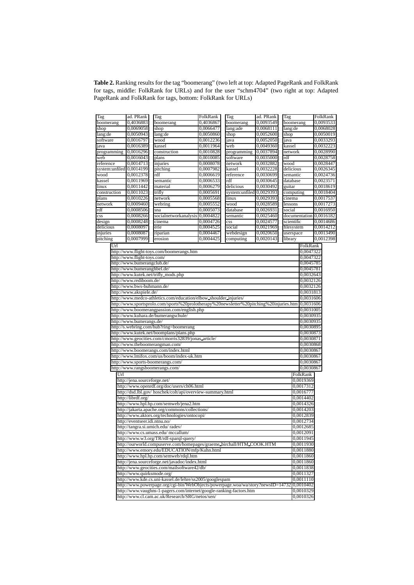**Table 2.** Ranking results for the tag "boomerang" (two left at top: Adapted PageRank and FolkRank for tags, middle: FolkRank for URLs) and for the user "schm4704" (two right at top: Adapted PageRank and FolkRank for tags, bottom: FolkRank for URLs)

| Tag            | ad. PRank                                                                                                              | Tag                                                                   | FolkRank  | Tag            | ad. PRank | Tag        |                        |           | FolkRank  |
|----------------|------------------------------------------------------------------------------------------------------------------------|-----------------------------------------------------------------------|-----------|----------------|-----------|------------|------------------------|-----------|-----------|
| boomerang      | 0,4036883                                                                                                              | boomerang                                                             | 0,4036867 | boomerang      | 0,0093549 | boomerang  |                        |           | 0,0093533 |
| shop           | 0,0069058                                                                                                              | shop                                                                  | 0,0066477 | lang:ade       | 0,0068111 | lang:de    |                        |           | 0,0068028 |
| lang:de        | 0,0050943                                                                                                              | lang:de                                                               | 0,0050860 | shop           | 0,0052600 | shop       |                        |           | 0,0050019 |
| software       | 0,0016797                                                                                                              | wood                                                                  | 0,0012236 | java           | 0,0052050 | java       |                        |           | 0,0033293 |
| java           | 0,0016389                                                                                                              | kassel                                                                | 0,0011964 | web            | 0,0049360 | kassel     |                        |           | 0,0032223 |
| programming    | 0,0016296                                                                                                              | construction                                                          | 0,0010828 | programming    | 0,0037894 | network    |                        |           | 0,0028990 |
| web            | 0,0016043                                                                                                              | plans                                                                 | 0,0010085 | software       | 0,0035000 | rdf        |                        |           | 0,0028758 |
| reference      | 0,0014713                                                                                                              | injuries                                                              | 0,0008078 | network        | 0,0032882 | wood       |                        |           | 0,0028447 |
| system:unfiled | 0,0014199                                                                                                              | pitching                                                              | 0,0007982 | kassel         | 0,0032228 | delicious  |                        |           | 0,0026345 |
| wood           | 0,0012378                                                                                                              | rdf                                                                   | 0,0006619 | reference      | 0,0030699 | semantic   |                        |           | 0,0024736 |
| kassel         | 0,0011969                                                                                                              | semantic                                                              | 0,0006533 | rdf            | 0,0030645 | database   |                        |           | 0,0023571 |
| linux          | 0,0011442                                                                                                              | material                                                              | 0,0006279 | delicious      | 0.0030492 | guitar     |                        |           | 0,0018619 |
| construction   | 0,0011023                                                                                                              | trifly                                                                | 0,0005691 | system:unfiled | 0,0029393 | computing  |                        |           | 0,0018404 |
| plans          | 0,0010226                                                                                                              | network                                                               | 0,0005568 | linux          | 0,0029393 | cinema     |                        |           | 0,0017537 |
| network        | 0,0009460                                                                                                              | webring                                                               | 0,0005552 | wood           | 0,0028589 | lessons    |                        |           | 0,0017273 |
| rdf            | 0,0008506                                                                                                              | sna                                                                   | 0.0005073 | database       | 0,0026931 | social     |                        |           | 0,0016950 |
|                |                                                                                                                        |                                                                       |           |                |           |            |                        |           |           |
| css            | 0,0008266                                                                                                              | socialnetworkanalysis                                                 | 0,0004822 | semantic       | 0,0025460 |            | documentation          |           | 0,0016182 |
| design         | 0,0008248                                                                                                              | cinema                                                                | 0,0004726 | css            | 0,0024577 | scientific |                        |           | 0,0014686 |
| delicious      | 0,0008097                                                                                                              | erie                                                                  | 0,0004525 | social         | 0,0021969 | filesystem |                        |           | 0,0014212 |
| injuries       | 0,0008087                                                                                                              | riparian                                                              | 0,0004467 | webdesign      | 0,0020650 | userspace  |                        |           | 0,0013490 |
| pitching       | 0,0007999                                                                                                              | erosion                                                               | 0,0004425 | computing      | 0,0020143 | library    |                        |           | 0,0012398 |
| Url            |                                                                                                                        |                                                                       |           |                |           |            | FolkRank               |           |           |
|                |                                                                                                                        | http://www.flight-toys.com/boomerangs.htm                             |           |                |           |            | 0,0047322              |           |           |
|                | http://www.flight-toys.com/                                                                                            |                                                                       |           |                |           |            | 0,0047322              |           |           |
|                |                                                                                                                        |                                                                       |           |                |           |            |                        |           |           |
|                | http://www.bumerangclub.de/                                                                                            |                                                                       |           |                |           |            | 0,0045785              |           |           |
|                | http://www.bumerangfibel.de/                                                                                           |                                                                       |           |                |           |            | 0,0045781              |           |           |
|                |                                                                                                                        | http://www.kutek.net/trifly_mods.php                                  |           |                |           | 0,0032643  |                        |           |           |
|                | http://www.rediboom.de/                                                                                                |                                                                       |           |                |           |            | 0,0032126              |           |           |
|                | http://www.bws-buhmann.de/                                                                                             |                                                                       |           |                |           |            | 0,0032126              |           |           |
|                | http://www.akspiele.de/                                                                                                |                                                                       |           |                |           |            | 0,0031813              |           |           |
|                |                                                                                                                        | http://www.medco-athletics.com/education/elbow_shoulder_injuries/     |           |                |           |            | 0,0031606              |           |           |
|                | http://www.sportsprolo.com/sports%20prolotherapy%20newsletter%20pitching%20injuries.htm 0,0031606                      |                                                                       |           |                |           |            |                        |           |           |
|                | http://www.boomerangpassion.com/english.php                                                                            |                                                                       |           |                |           |            |                        | 0,0031005 |           |
|                | http://www.kuhara.de/bumerangschule/<br>0,0030935                                                                      |                                                                       |           |                |           |            |                        |           |           |
|                | http://www.bumerangs.de/<br>0,0030935                                                                                  |                                                                       |           |                |           |            |                        |           |           |
|                | http://s.webring.com/hub?ring=boomerang<br>0,0030895                                                                   |                                                                       |           |                |           |            |                        |           |           |
|                | http://www.kutek.net/boomplans/plans.php<br>0,0030873                                                                  |                                                                       |           |                |           |            |                        |           |           |
|                | http://www.geocities.com/cmorris32839/jonas_article/<br>0,0030871                                                      |                                                                       |           |                |           |            |                        |           |           |
|                |                                                                                                                        | http://www.theboomerangman.com/                                       |           |                |           |            | 0,0030868              |           |           |
|                |                                                                                                                        | http://www.boomerangs.com/index.html                                  |           |                |           |            | 0,0030867              |           |           |
|                |                                                                                                                        |                                                                       |           |                |           |            |                        |           |           |
|                |                                                                                                                        | http://www.lmifox.com/us/boom/index-uk.htm                            |           |                |           |            | 0,0030867              |           |           |
|                |                                                                                                                        | http://www.sports-boomerangs.com/                                     |           |                |           |            | 0,0030867              |           |           |
|                |                                                                                                                        | http://www.rangsboomerangs.com/                                       |           |                |           |            | 0,0030867              |           |           |
| Url            |                                                                                                                        |                                                                       |           |                |           |            | FolkRank               |           |           |
|                | http://jena.sourceforge.net/                                                                                           |                                                                       |           |                |           |            | 0,0019369              |           |           |
|                |                                                                                                                        | http://www.openrdf.org/doc/users/ch06.html                            |           |                |           |            | 0,0017312              |           |           |
|                |                                                                                                                        | http://dsd.lbl.gov/ hoschek/colt/api/overview-summary.html            |           |                |           |            | 0,0016777              |           |           |
|                | http://librdf.org/                                                                                                     |                                                                       |           |                |           |            | 0,0014402              |           |           |
|                | http://www.hpl.hp.com/semweb/jena2.htm                                                                                 |                                                                       |           |                |           |            | 0.0014326              |           |           |
|                | http://jakarta.apache.org/commons/collections/                                                                         |                                                                       |           |                |           |            | 0,0014203              |           |           |
|                |                                                                                                                        |                                                                       |           |                |           |            | 0,0012839              |           |           |
|                | http://www.aktors.org/technologies/ontocopi/                                                                           |                                                                       |           |                |           |            | 0,0012734              |           |           |
|                | http://eventseer.idi.ntnu.no/                                                                                          |                                                                       |           |                |           |            |                        |           |           |
|                | http://tangra.si.umich.edu/ radev/                                                                                     |                                                                       |           |                |           |            | 0,0012685              |           |           |
|                | http://www.cs.umass.edu/ mccallum/                                                                                     |                                                                       |           |                |           |            | 0,0012091              |           |           |
|                |                                                                                                                        | http://www.w3.org/TR/rdf-sparql-query/                                |           |                |           |            | 0,0011945<br>0,0011930 |           |           |
|                |                                                                                                                        | http://ourworld.compuserve.com/homepages/graeme_birchall/HTM_COOK.HTM |           |                |           |            |                        |           |           |
|                |                                                                                                                        | http://www.emory.edu/EDUCATION/mfp/Kuhn.html                          |           |                |           |            | 0,0011880              |           |           |
|                |                                                                                                                        | http://www.hpl.hp.com/semweb/rdql.htm                                 |           |                |           |            |                        | 0,0011860 |           |
|                |                                                                                                                        | http://jena.sourceforge.net/javadoc/index.html                        |           |                |           |            |                        | 0,0011860 |           |
|                | http://www.geocities.com/mailsoftware42/db/                                                                            |                                                                       |           |                |           |            | 0,0011838              |           |           |
|                | http://www.quirksmode.org/                                                                                             |                                                                       |           |                |           |            | 0,0011327              |           |           |
|                |                                                                                                                        | http://www.kde.cs.uni-kassel.de/lehre/ss2005/googlespam               |           |                |           |            | 0,0011110              |           |           |
|                | http://www.powerpage.org/cgi-bin/WebObjects/powerpage.woa/wa/story?newsID=14732 0,0010402                              |                                                                       |           |                |           |            |                        |           |           |
|                |                                                                                                                        |                                                                       |           |                |           |            | 0,0010329              |           |           |
|                | http://www.vaughns-1-pagers.com/internet/google-ranking-factors.htm<br>http://www.cl.cam.ac.uk/Research/SRG/netos/xen/ |                                                                       |           |                |           |            | 0,0010326              |           |           |
|                |                                                                                                                        |                                                                       |           |                |           |            |                        |           |           |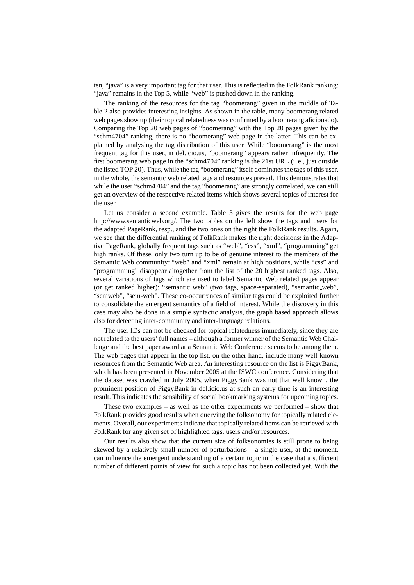ten, "java" is a very important tag for that user. This is reflected in the FolkRank ranking: "java" remains in the Top 5, while "web" is pushed down in the ranking.

The ranking of the resources for the tag "boomerang" given in the middle of Table 2 also provides interesting insights. As shown in the table, many boomerang related web pages show up (their topical relatedness was confirmed by a boomerang aficionado). Comparing the Top 20 web pages of "boomerang" with the Top 20 pages given by the "schm4704" ranking, there is no "boomerang" web page in the latter. This can be explained by analysing the tag distribution of this user. While "boomerang" is the most frequent tag for this user, in del.icio.us, "boomerang" appears rather infrequently. The first boomerang web page in the "schm4704" ranking is the 21st URL (i. e., just outside the listed TOP 20). Thus, while the tag "boomerang" itself dominates the tags of this user, in the whole, the semantic web related tags and resources prevail. This demonstrates that while the user "schm4704" and the tag "boomerang" are strongly correlated, we can still get an overview of the respective related items which shows several topics of interest for the user.

Let us consider a second example. Table 3 gives the results for the web page http://www.semanticweb.org/. The two tables on the left show the tags and users for the adapted PageRank, resp., and the two ones on the right the FolkRank results. Again, we see that the differential ranking of FolkRank makes the right decisions: in the Adaptive PageRank, globally frequent tags such as "web", "css", "xml", "programming" get high ranks. Of these, only two turn up to be of genuine interest to the members of the Semantic Web community: "web" and "xml" remain at high positions, while "css" and "programming" disappear altogether from the list of the 20 highest ranked tags. Also, several variations of tags which are used to label Semantic Web related pages appear (or get ranked higher): "semantic web" (two tags, space-separated), "semantic web", "semweb", "sem-web". These co-occurrences of similar tags could be exploited further to consolidate the emergent semantics of a field of interest. While the discovery in this case may also be done in a simple syntactic analysis, the graph based approach allows also for detecting inter-community and inter-language relations.

The user IDs can not be checked for topical relatedness immediately, since they are not related to the users' full names – although a former winner of the Semantic Web Challenge and the best paper award at a Semantic Web Conference seems to be among them. The web pages that appear in the top list, on the other hand, include many well-known resources from the Semantic Web area. An interesting resource on the list is PiggyBank, which has been presented in November 2005 at the ISWC conference. Considering that the dataset was crawled in July 2005, when PiggyBank was not that well known, the prominent position of PiggyBank in del.icio.us at such an early time is an interesting result. This indicates the sensibility of social bookmarking systems for upcoming topics.

These two examples – as well as the other experiments we performed – show that FolkRank provides good results when querying the folksonomy for topically related elements. Overall, our experiments indicate that topically related items can be retrieved with FolkRank for any given set of highlighted tags, users and/or resources.

Our results also show that the current size of folksonomies is still prone to being skewed by a relatively small number of perturbations – a single user, at the moment, can influence the emergent understanding of a certain topic in the case that a sufficient number of different points of view for such a topic has not been collected yet. With the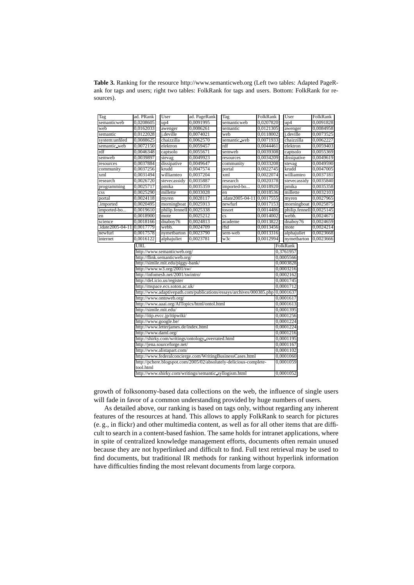**Table 3.** Ranking for the resource http://www.semanticweb.org (Left two tables: Adapted PageRank for tags and users; right two tables: FolkRank for tags and users. Bottom: FolkRank for resources).

| Tag              | ad. PRank              | User                                                              | ad. PageRank<br>Tag<br>FolkRank |                  |                                                                               | User     | FolkRank          |           |  |
|------------------|------------------------|-------------------------------------------------------------------|---------------------------------|------------------|-------------------------------------------------------------------------------|----------|-------------------|-----------|--|
| semanticweb      | 0,0208605              | up4                                                               | 0,0091995                       | semanticweb      | 0,0207820                                                                     |          | up4               | 0,0091828 |  |
| web              | 0,0162033              | awenger                                                           | 0,0086261                       | semantic         | 0,0121305                                                                     |          | awenger           | 0,0084958 |  |
| semantic         | 0,0122028              | <i>i</i> .deville                                                 | 0,0074021                       | web              | 0,0118002                                                                     |          | <i>i</i> .deville | 0,0073525 |  |
| system:unfiled   | 0,0088625              | chaizzilla                                                        | 0,0062570                       | semantic web     | 0,0071933                                                                     |          | chaizzilla        | 0,0062227 |  |
| semantic_web     | 0,0072150              | elektron                                                          | 0,0059457                       | rdf              | 0,0044461                                                                     |          | elektron          | 0,0059403 |  |
| rdf              | 0,0046348              | captsolo                                                          | 0,0055671                       | semweb           | 0,0039308                                                                     |          | captsolo          | 0,0055369 |  |
| semweb           | 0,0039897              | stevag                                                            | 0,0049923                       | resources        | 0,0034209                                                                     |          | dissipative       | 0,0049619 |  |
| resources        | 0,0037884              | dissipative                                                       | 0,0049647                       | community        | 0,0033208                                                                     |          | stevag            | 0,0049590 |  |
| community        | 0,0037256              | krudd                                                             | 0,0047574                       | portal           | 0,0022745                                                                     |          | krudd             | 0,0047005 |  |
| xml              | 0,0031494              | williamteo                                                        | 0,0037204                       | xml              | 0,0022074                                                                     |          | williamteo        | 0,0037181 |  |
| research         | 0,0026720              | stevecassidy                                                      | 0,0035887                       | research         | 0,0020378                                                                     |          | stevecassidy      | 0,0035840 |  |
| programming      | 0,0025717              | pmika                                                             | 0,0035359                       | imported-bo      | 0,0018920                                                                     |          | pmika             | 0,0035358 |  |
| <b>CSS</b>       | 0,0025290              | millette                                                          | 0,0033028                       | en               | 0,0018536                                                                     |          | millette          | 0,0032103 |  |
| portal           | 0,0024118              | myren                                                             | 0,0028117                       | .idate2005-04-11 | 0,0017555                                                                     |          | myren             | 0,0027965 |  |
| .imported        | 0,0020495              | morningboat                                                       | 0,0025913                       | newfurl          | 0,0017153                                                                     |          | morningboat       | 0,0025875 |  |
| imported-bo      | 0,0019610              | philip.fennell                                                    | 0,0025338                       | tosort           | 0,0014486                                                                     |          | philip.fennell    | 0,0025145 |  |
| en               | 0,0018900              | $m$ <sub>ote</sub>                                                | 0,0025212                       | cs               | 0,0014002                                                                     |          | webb.             | 0,0024671 |  |
| science          | 0,0018166              | $\frac{dnaby}{76}$                                                | 0,0024813                       | academe          | 0,0013822                                                                     |          | dnaboy76          | 0,0024659 |  |
| .idate2005-04-11 | 0,0017779              | webb.                                                             | 0,0024709                       | rfid             | 0,0013456                                                                     |          | mote              | 0,0024214 |  |
| newfurl          | 0,0017578              | nymetbarton                                                       | 0,0023790                       | sem-web          | 0,0013316                                                                     |          | alphajuliet       | 0,0023668 |  |
| internet         | 0,0016122              | alphajuliet                                                       | 0,0023781                       | w3c              | 0,0012994                                                                     |          | nymetbarton       | 0,0023666 |  |
|                  | URL                    |                                                                   |                                 |                  |                                                                               | FolkRank |                   |           |  |
|                  |                        | http://www.semanticweb.org/                                       |                                 |                  |                                                                               |          | 0,3761957         |           |  |
|                  |                        |                                                                   | http://flink.semanticweb.org/   |                  |                                                                               |          |                   |           |  |
|                  |                        | http://simile.mit.edu/piggy-bank/                                 |                                 |                  |                                                                               |          | 0,0003828         |           |  |
|                  |                        | http://www.w3.org/2001/sw/                                        |                                 |                  |                                                                               |          | 0,0003216         |           |  |
|                  |                        | http://infomesh.net/2001/swintro/                                 |                                 |                  |                                                                               |          | 0,0002162         |           |  |
|                  |                        | http://del.icio.us/register                                       |                                 |                  |                                                                               |          | 0,0001745         |           |  |
|                  |                        | http://mspace.ecs.soton.ac.uk/                                    |                                 |                  |                                                                               |          | 0,0001712         |           |  |
|                  |                        |                                                                   |                                 |                  | http://www.adaptivepath.com/publications/essays/archives/000385.php 0,0001637 |          |                   |           |  |
|                  |                        | http://www.ontoweb.org/                                           |                                 |                  |                                                                               |          |                   |           |  |
|                  |                        | http://www.aaai.org/AITopics/html/ontol.html                      |                                 |                  |                                                                               |          | 0,0001613         |           |  |
|                  | http://simile.mit.edu/ |                                                                   |                                 |                  |                                                                               |          | 0,0001395         |           |  |
|                  |                        | http://itip.evcc.jp/itipwiki/                                     |                                 |                  |                                                                               |          | 0,0001256         |           |  |
|                  |                        | http://www.google.be/                                             |                                 |                  |                                                                               |          | 0,0001224         |           |  |
|                  |                        | http://www.letterjames.de/index.html                              |                                 |                  |                                                                               |          | 0,0001224         |           |  |
|                  | http://www.daml.org/   |                                                                   |                                 |                  |                                                                               |          | 0,0001216         |           |  |
|                  |                        | http://shirky.com/writings/ontology_overrated.html                |                                 |                  |                                                                               |          | 0,0001195         |           |  |
|                  |                        | http://jena.sourceforge.net/                                      |                                 |                  |                                                                               |          | 0,0001167         |           |  |
|                  |                        | http://www.alistapart.com/                                        |                                 |                  |                                                                               |          | 0,0001102         |           |  |
|                  |                        | http://www.federalconcierge.com/WritingBusinessCases.html         |                                 |                  |                                                                               |          | 0,0001060         |           |  |
|                  |                        | http://pchere.blogspot.com/2005/02/absolutely-delicious-complete- |                                 |                  |                                                                               |          | 0,0001059         |           |  |
|                  | tool.html              |                                                                   |                                 |                  |                                                                               |          |                   |           |  |
|                  |                        | http://www.shirky.com/writings/semantic_syllogism.html            |                                 |                  | 0,0001052                                                                     |          |                   |           |  |

growth of folksonomy-based data collections on the web, the influence of single users will fade in favor of a common understanding provided by huge numbers of users.

As detailed above, our ranking is based on tags only, without regarding any inherent features of the resources at hand. This allows to apply FolkRank to search for pictures (e. g., in flickr) and other multimedia content, as well as for all other items that are difficult to search in a content-based fashion. The same holds for intranet applications, where in spite of centralized knowledge management efforts, documents often remain unused because they are not hyperlinked and difficult to find. Full text retrieval may be used to find documents, but traditional IR methods for ranking without hyperlink information have difficulties finding the most relevant documents from large corpora.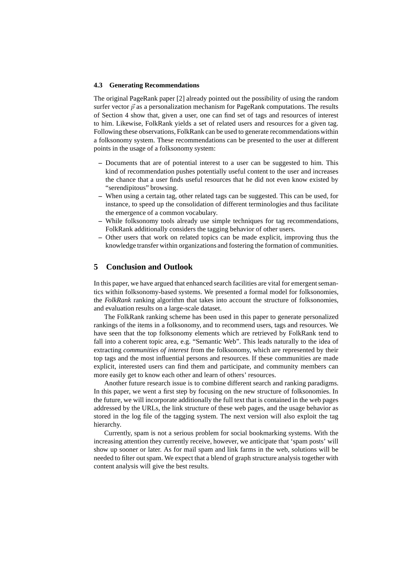#### **4.3 Generating Recommendations**

The original PageRank paper [2] already pointed out the possibility of using the random surfer vector  $\vec{p}$  as a personalization mechanism for PageRank computations. The results of Section 4 show that, given a user, one can find set of tags and resources of interest to him. Likewise, FolkRank yields a set of related users and resources for a given tag. Following these observations, FolkRank can be used to generate recommendations within a folksonomy system. These recommendations can be presented to the user at different points in the usage of a folksonomy system:

- **–** Documents that are of potential interest to a user can be suggested to him. This kind of recommendation pushes potentially useful content to the user and increases the chance that a user finds useful resources that he did not even know existed by "serendipitous" browsing.
- **–** When using a certain tag, other related tags can be suggested. This can be used, for instance, to speed up the consolidation of different terminologies and thus facilitate the emergence of a common vocabulary.
- **–** While folksonomy tools already use simple techniques for tag recommendations, FolkRank additionally considers the tagging behavior of other users.
- **–** Other users that work on related topics can be made explicit, improving thus the knowledge transfer within organizations and fostering the formation of communities.

## **5 Conclusion and Outlook**

In this paper, we have argued that enhanced search facilities are vital for emergent semantics within folksonomy-based systems. We presented a formal model for folksonomies, the *FolkRank* ranking algorithm that takes into account the structure of folksonomies, and evaluation results on a large-scale dataset.

The FolkRank ranking scheme has been used in this paper to generate personalized rankings of the items in a folksonomy, and to recommend users, tags and resources. We have seen that the top folksonomy elements which are retrieved by FolkRank tend to fall into a coherent topic area, e.g. "Semantic Web". This leads naturally to the idea of extracting *communities of interest* from the folksonomy, which are represented by their top tags and the most influential persons and resources. If these communities are made explicit, interested users can find them and participate, and community members can more easily get to know each other and learn of others' resources.

Another future research issue is to combine different search and ranking paradigms. In this paper, we went a first step by focusing on the new structure of folksonomies. In the future, we will incorporate additionally the full text that is contained in the web pages addressed by the URLs, the link structure of these web pages, and the usage behavior as stored in the log file of the tagging system. The next version will also exploit the tag hierarchy.

Currently, spam is not a serious problem for social bookmarking systems. With the increasing attention they currently receive, however, we anticipate that 'spam posts' will show up sooner or later. As for mail spam and link farms in the web, solutions will be needed to filter out spam. We expect that a blend of graph structure analysis together with content analysis will give the best results.